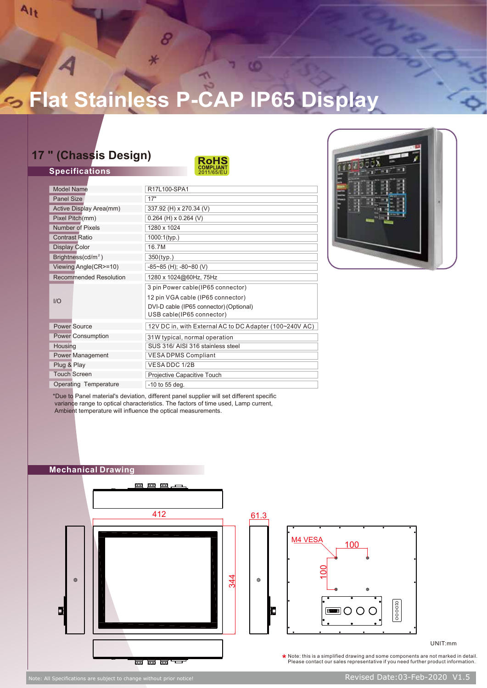## **Flat Stainless P-CAP IP65 Display**

Ko)

8

## **17 " (Chassis Design)**

**Specifications**

Alt



| <b>Model Name</b>              | R17L100-SPA1                                            |
|--------------------------------|---------------------------------------------------------|
| Panel Size                     | 17"                                                     |
| Active Display Area(mm)        | 337.92 (H) x 270.34 (V)                                 |
| Pixel Pitch(mm)                | $0.264$ (H) x $0.264$ (V)                               |
| Number of Pixels               | 1280 x 1024                                             |
| <b>Contrast Ratio</b>          | $1000:1$ (typ.)                                         |
| <b>Display Color</b>           | 16.7M                                                   |
| Brightness(cd/m <sup>2</sup> ) | 350(typ.)                                               |
| Viewing Angle(CR>=10)          | $-85-85$ (H); $-80-80$ (V)                              |
| <b>Recommended Resolution</b>  | 1280 x 1024@60Hz, 75Hz                                  |
|                                | 3 pin Power cable(IP65 connector)                       |
| I/O                            | 12 pin VGA cable (IP65 connector)                       |
|                                | DVI-D cable (IP65 connector) (Optional)                 |
|                                | USB cable(IP65 connector)                               |
| <b>Power Source</b>            | 12V DC in, with External AC to DC Adapter (100~240V AC) |
| <b>Power Consumption</b>       | 31W typical, normal operation                           |
| Housing                        | SUS 316/ AISI 316 stainless steel                       |
| Power Management               | <b>VESADPMS Compliant</b>                               |
| Plug & Play                    | VESADDC 1/2B                                            |
| <b>Touch Screen</b>            | Projective Capacitive Touch                             |
| <b>Operating Temperature</b>   | $-10$ to 55 deg.                                        |



\*Due to Panel material's deviation, different panel supplier will set different specific variance range to optical characteristics. The factors of time used, Lamp current, Ambient temperature will influence the optical measurements.





UNIT:mm

 $\star$  Note: this is a simplified drawing and some components are not marked in detail. Please contact our sales representative if you need further product information.